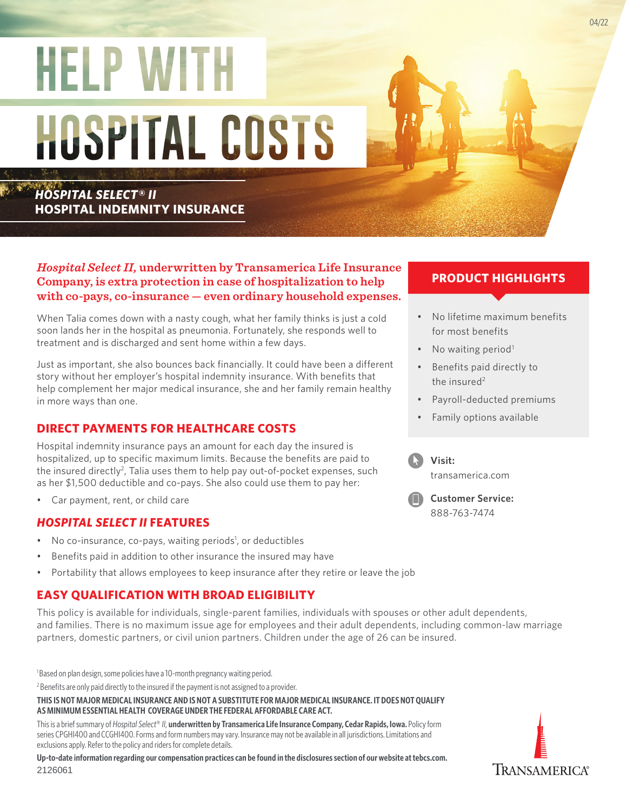# **HELP WITH** HOSPITAL COSTS

*HOSPITAL SELECT® II*  **HOSPITAL INDEMNITY INSURANCE**

## *Hospital Select II,* **underwritten by Transamerica Life Insurance Company, is extra protection in case of hospitalization to help with co-pays, co-insurance — even ordinary household expenses.**

When Talia comes down with a nasty cough, what her family thinks is just a cold soon lands her in the hospital as pneumonia. Fortunately, she responds well to treatment and is discharged and sent home within a few days.

Just as important, she also bounces back financially. It could have been a different story without her employer's hospital indemnity insurance. With benefits that help complement her major medical insurance, she and her family remain healthy in more ways than one.

# **DIRECT PAYMENTS FOR HEALTHCARE COSTS**

Hospital indemnity insurance pays an amount for each day the insured is hospitalized, up to specific maximum limits. Because the benefits are paid to the insured directly<sup>2</sup>, Talia uses them to help pay out-of-pocket expenses, such as her \$1,500 deductible and co-pays. She also could use them to pay her:

• Car payment, rent, or child care

## *HOSPITAL SELECT II* **FEATURES**

- No co-insurance, co-pays, waiting periods<sup>1</sup>, or deductibles
- Benefits paid in addition to other insurance the insured may have
- Portability that allows employees to keep insurance after they retire or leave the job

# **EASY QUALIFICATION WITH BROAD ELIGIBILITY**

This policy is available for individuals, single-parent families, individuals with spouses or other adult dependents, and families. There is no maximum issue age for employees and their adult dependents, including common-law marriage partners, domestic partners, or civil union partners. Children under the age of 26 can be insured.

<sup>1</sup>Based on plan design, some policies have a 10-month pregnancy waiting period.

<sup>2</sup> Benefits are only paid directly to the insured if the payment is not assigned to a provider.

**THIS IS NOT MAJOR MEDICAL INSURANCE AND IS NOT A SUBSTITUTE FOR MAJOR MEDICAL INSURANCE. IT DOES NOT QUALIFY AS MINIMUM ESSENTIAL HEALTH COVERAGE UNDER THE FEDERAL AFFORDABLE CARE ACT.**

This is a brief summary of *Hospital Select*® *II,* **underwritten by Transamerica Life Insurance Company, Cedar Rapids, Iowa.** Policy form series CPGHI400 and CCGHI400. Forms and form numbers may vary. Insurance may not be available in all jurisdictions. Limitations and exclusions apply. Refer to the policy and riders for complete details.

**Up-to-date information regarding our compensation practices can be found in the disclosures section of our website at [tebcs.com](http://tebcs.com).** 2126061

## **PRODUCT HIGHLIGHTS**

- No lifetime maximum benefits for most benefits
- No waiting period<sup>1</sup>
- Benefits paid directly to the insured $2$
- Payroll-deducted premiums
- Family options available



**Visit:** 

transamerica.com



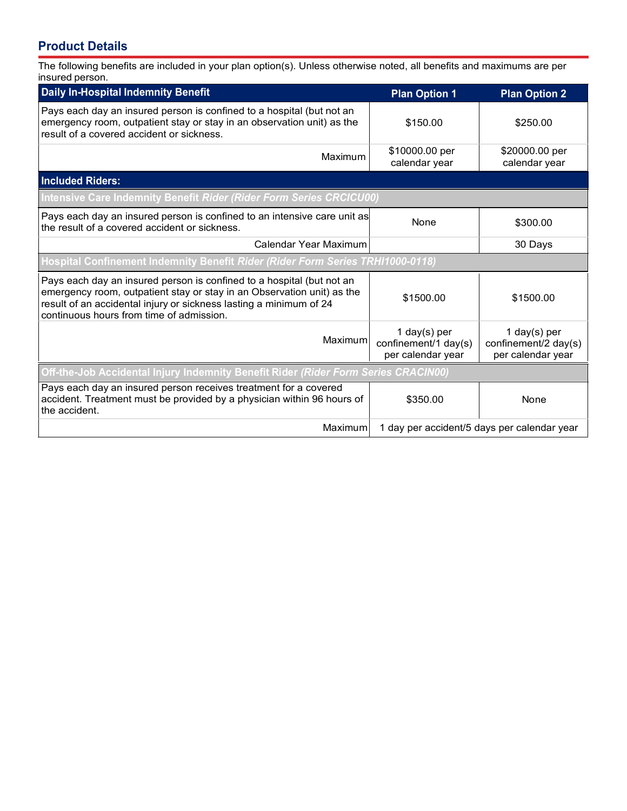# **Product Details**

The following benefits are included in your plan option(s). Unless otherwise noted, all benefits and maximums are per insured person.

| <b>Daily In-Hospital Indemnity Benefit</b>                                                                                                                                                                                                                        | <b>Plan Option 1</b>                                      | <b>Plan Option 2</b>                                      |
|-------------------------------------------------------------------------------------------------------------------------------------------------------------------------------------------------------------------------------------------------------------------|-----------------------------------------------------------|-----------------------------------------------------------|
| Pays each day an insured person is confined to a hospital (but not an<br>emergency room, outpatient stay or stay in an observation unit) as the<br>result of a covered accident or sickness.                                                                      | \$150.00                                                  | \$250.00                                                  |
| Maximum                                                                                                                                                                                                                                                           | \$10000.00 per<br>calendar year                           | \$20000.00 per<br>calendar year                           |
| <b>Included Riders:</b>                                                                                                                                                                                                                                           |                                                           |                                                           |
| Intensive Care Indemnity Benefit Rider (Rider Form Series CRCICU00)                                                                                                                                                                                               |                                                           |                                                           |
| Pays each day an insured person is confined to an intensive care unit as<br>the result of a covered accident or sickness.                                                                                                                                         | None                                                      | \$300.00                                                  |
| Calendar Year Maximum                                                                                                                                                                                                                                             |                                                           | 30 Days                                                   |
| Hospital Confinement Indemnity Benefit Rider (Rider Form Series TRHI1000-0118)                                                                                                                                                                                    |                                                           |                                                           |
| Pays each day an insured person is confined to a hospital (but not an<br>emergency room, outpatient stay or stay in an Observation unit) as the<br>result of an accidental injury or sickness lasting a minimum of 24<br>continuous hours from time of admission. | \$1500.00                                                 | \$1500.00                                                 |
| Maximum                                                                                                                                                                                                                                                           | 1 day(s) per<br>confinement/1 day(s)<br>per calendar year | 1 day(s) per<br>confinement/2 day(s)<br>per calendar year |
| Off-the-Job Accidental Injury Indemnity Benefit Rider (Rider Form Series CRACIN00)                                                                                                                                                                                |                                                           |                                                           |
| Pays each day an insured person receives treatment for a covered<br>accident. Treatment must be provided by a physician within 96 hours of<br>the accident.                                                                                                       | \$350.00                                                  | None                                                      |
| Maximum                                                                                                                                                                                                                                                           | 1 day per accident/5 days per calendar year               |                                                           |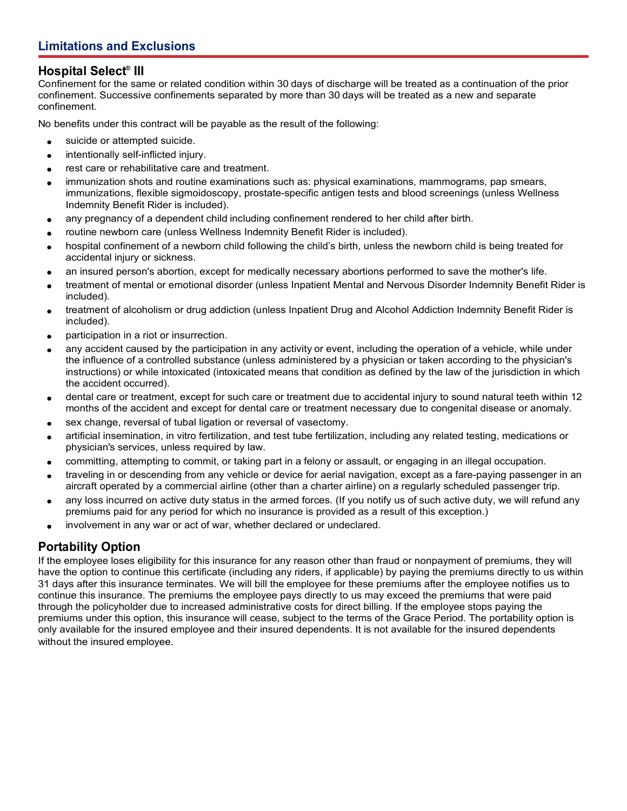## **Hospital Select® III**

Confinement for the same or related condition within 30 days of discharge will be treated as a continuation of the prior confinement. Successive confinements separated by more than 30 days will be treated as a new and separate confinement.

No benefits under this contract will be payable as the result of the following:

- suicide or attempted suicide.  $\bullet$
- intentionally self-inflicted injury.  $\bullet$
- rest care or rehabilitative care and treatment.  $\bullet$
- immunization shots and routine examinations such as: physical examinations, mammograms, pap smears, immunizations, flexible sigmoidoscopy, prostate-specific antigen tests and blood screenings (unless Wellness Indemnity Benefit Rider is included).
- any pregnancy of a dependent child including confinement rendered to her child after birth.
- routine newborn care (unless Wellness Indemnity Benefit Rider is included).
- hospital confinement of a newborn child following the child's birth, unless the newborn child is being treated for  $\bullet$ accidental injury or sickness.
- an insured person's abortion, except for medically necessary abortions performed to save the mother's life.  $\bullet$
- treatment of mental or emotional disorder (unless Inpatient Mental and Nervous Disorder Indemnity Benefit Rider is included).
- treatment of alcoholism or drug addiction (unless Inpatient Drug and Alcohol Addiction Indemnity Benefit Rider is included).
- participation in a riot or insurrection.
- any accident caused by the participation in any activity or event, including the operation of a vehicle, while under  $\bullet$ the influence of a controlled substance (unless administered by a physician or taken according to the physician's instructions) or while intoxicated (intoxicated means that condition as defined by the law of the jurisdiction in which the accident occurred).
- dental care or treatment, except for such care or treatment due to accidental injury to sound natural teeth within 12  $\bullet$ months of the accident and except for dental care or treatment necessary due to congenital disease or anomaly.
- sex change, reversal of tubal ligation or reversal of vasectomy.
- artificial insemination, in vitro fertilization, and test tube fertilization, including any related testing, medications or  $\bullet$ physician's services, unless required by law.
- committing, attempting to commit, or taking part in a felony or assault, or engaging in an illegal occupation.
- traveling in or descending from any vehicle or device for aerial navigation, except as a fare-paying passenger in an aircraft operated by a commercial airline (other than a charter airline) on a regularly scheduled passenger trip.
- any loss incurred on active duty status in the armed forces. (If you notify us of such active duty, we will refund any  $\bullet$ premiums paid for any period for which no insurance is provided as a result of this exception.)
- involvement in any war or act of war, whether declared or undeclared.  $\bullet$

## **Portability Option**

If the employee loses eligibility for this insurance for any reason other than fraud or nonpayment of premiums, they will have the option to continue this certificate (including any riders, if applicable) by paying the premiums directly to us within 31 days after this insurance terminates. We will bill the employee for these premiums after the employee notifies us to continue this insurance. The premiums the employee pays directly to us may exceed the premiums that were paid through the policyholder due to increased administrative costs for direct billing. If the employee stops paying the premiums under this option, this insurance will cease, subject to the terms of the Grace Period. The portability option is only available for the insured employee and their insured dependents. It is not available for the insured dependents without the insured employee.